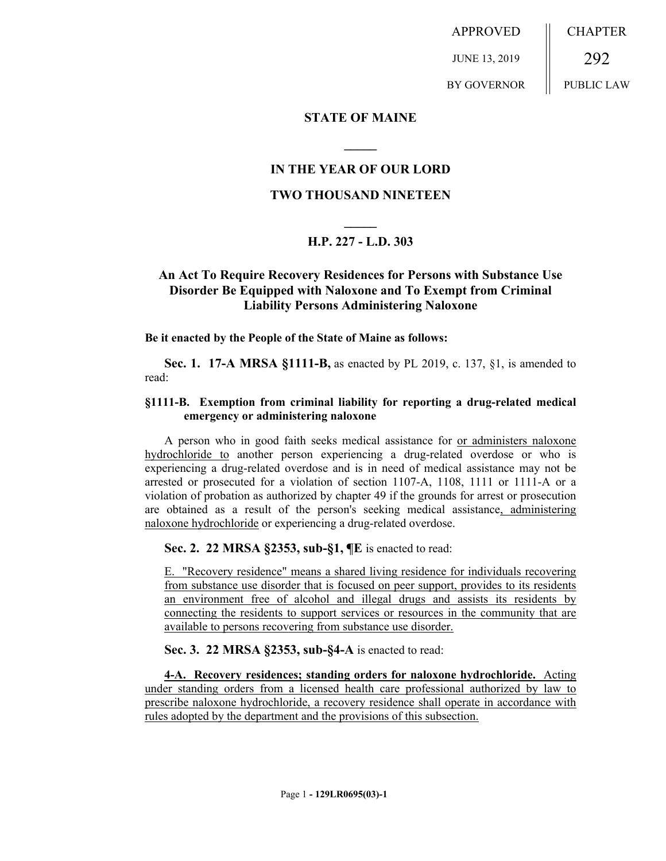APPROVED JUNE 13, 2019 BY GOVERNOR CHAPTER 292 PUBLIC LAW

### **STATE OF MAINE**

## **IN THE YEAR OF OUR LORD**

**\_\_\_\_\_**

### **TWO THOUSAND NINETEEN**

# **\_\_\_\_\_ H.P. 227 - L.D. 303**

# **An Act To Require Recovery Residences for Persons with Substance Use Disorder Be Equipped with Naloxone and To Exempt from Criminal Liability Persons Administering Naloxone**

**Be it enacted by the People of the State of Maine as follows:**

**Sec. 1. 17-A MRSA §1111-B,** as enacted by PL 2019, c. 137, §1, is amended to read:

#### **§1111-B. Exemption from criminal liability for reporting a drug-related medical emergency or administering naloxone**

A person who in good faith seeks medical assistance for or administers naloxone hydrochloride to another person experiencing a drug-related overdose or who is experiencing a drug-related overdose and is in need of medical assistance may not be arrested or prosecuted for a violation of section 1107-A, 1108, 1111 or 1111-A or a violation of probation as authorized by chapter 49 if the grounds for arrest or prosecution are obtained as a result of the person's seeking medical assistance, administering naloxone hydrochloride or experiencing a drug-related overdose.

**Sec. 2. 22 MRSA §2353, sub-§1, ¶E** is enacted to read:

E. "Recovery residence" means a shared living residence for individuals recovering from substance use disorder that is focused on peer support, provides to its residents an environment free of alcohol and illegal drugs and assists its residents by connecting the residents to support services or resources in the community that are available to persons recovering from substance use disorder.

**Sec. 3. 22 MRSA §2353, sub-§4-A** is enacted to read:

**4-A. Recovery residences; standing orders for naloxone hydrochloride.** Acting under standing orders from a licensed health care professional authorized by law to prescribe naloxone hydrochloride, a recovery residence shall operate in accordance with rules adopted by the department and the provisions of this subsection.